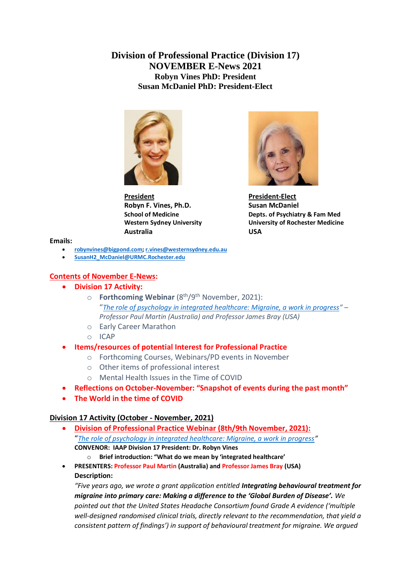## **Division of Professional Practice (Division 17) NOVEMBER E-News 2021 Robyn Vines PhD: President Susan McDaniel PhD: President-Elect**



**President President-Elect Robyn F. Vines, Ph.D.** Susan McDaniel **Australia USA**



**School of Medicine Depts. of Psychiatry & Fam Med Western Sydney University University of Rochester Medicine**

**Emails:**

- **[robynvines@bigpond.com;](mailto:robynvines@bigpond.com) [r.vines@westernsydney.edu.au](mailto:r.vines@westernsydney.edu.au)**
- **[SusanH2\\_McDaniel@URMC.Rochester.edu](mailto:SusanH2_McDaniel@URMC.Rochester.edu)**

### **Contents of November E-News:**

- **Division 17 Activity:** 
	- o **Forthcoming Webinar** (8th/9th November, 2021): "*[The role of psychology in integrated healthcare: Migraine, a work in progress](https://iaapsy.org/members/webinars/the-role-of-psychology-in-integrated-healthcare/)" – Professor Paul Martin (Australia) and Professor James Bray (USA)*
	- o Early Career Marathon
	- o ICAP
- **Items/resources of potential Interest for Professional Practice**
	- o Forthcoming Courses, Webinars/PD events in November
	- o Other items of professional interest
	- o Mental Health Issues in the Time of COVID
- **Reflections on October-November: "Snapshot of events during the past month"**
- **The World in the time of COVID**

## **Division 17 Activity (October - November, 2021)**

- **Division of Professional Practice Webinar (8th/9th November, 2021):** "*[The role of psychology in integrated healthcare: Migraine, a work in progress](https://iaapsy.org/members/webinars/the-role-of-psychology-in-integrated-healthcare/)"*  **CONVENOR: IAAP Division 17 President: Dr. Robyn Vines** 
	- o **Brief introduction: "What do we mean by 'integrated healthcare'**
- **PRESENTERS: Professor Paul Martin (Australia) and Professor James Bray (USA) Description:**

*"Five years ago, we wrote a grant application entitled Integrating behavioural treatment for migraine into primary care: Making a difference to the 'Global Burden of Disease'. We pointed out that the United States Headache Consortium found Grade A evidence ('multiple well-designed randomised clinical trials, directly relevant to the recommendation, that yield a consistent pattern of findings') in support of behavioural treatment for migraine. We argued*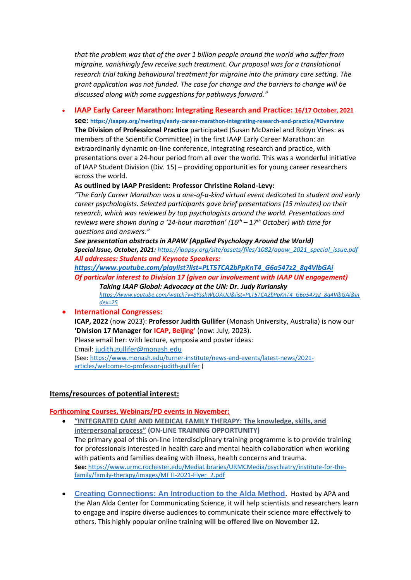*that the problem was that of the over 1 billion people around the world who suffer from migraine, vanishingly few receive such treatment. Our proposal was for a translational research trial taking behavioural treatment for migraine into the primary care setting. The grant application was not funded. The case for change and the barriers to change will be discussed along with some suggestions for pathways forward."*

• **IAAP Early Career Marathon: Integrating Research and Practice: 16/17 October, 2021 see: <https://iaapsy.org/meetings/early-career-marathon-integrating-research-and-practice/#Overview>**

**The Division of Professional Practice** participated (Susan McDaniel and Robyn Vines: as members of the Scientific Committee) in the first IAAP Early Career Marathon: an extraordinarily dynamic on-line conference, integrating research and practice, with presentations over a 24-hour period from all over the world. This was a wonderful initiative of IAAP Student Division (Div. 15) – providing opportunities for young career researchers across the world.

#### **As outlined by IAAP President: Professor Christine Roland-Levy:**

*"The Early Career Marathon was a one-of-a-kind virtual event dedicated to student and early career psychologists. Selected participants gave brief presentations (15 minutes) on their research, which was reviewed by top psychologists around the world. Presentations and reviews were shown during a '24-hour marathon' (16th – 17th October) with time for questions and answers."*

*See presentation abstracts in APAW (Applied Psychology Around the World) Special Issue, October, 2021: [https://iaapsy.org/site/assets/files/1082/apaw\\_2021\\_special\\_issue.pdf](https://iaapsy.org/site/assets/files/1082/apaw_2021_special_issue.pdf) All addresses: Students and Keynote Speakers:*

*[https://www.youtube.com/playlist?list=PLT5TCA2bPpKnT4\\_G6a547z2\\_8q4VlbGAi](https://www.youtube.com/playlist?list=PLT5TCA2bPpKnT4_G6a547z2_8q4VlbGAi) Of particular interest to Division 17 (given our involvement with IAAP UN engagement)*

*Taking IAAP Global: Advocacy at the UN: Dr. Judy Kuriansky [https://www.youtube.com/watch?v=8YsskWLOAUU&list=PLT5TCA2bPpKnT4\\_G6a547z2\\_8q4VlbGAi&in](https://www.youtube.com/watch?v=8YsskWLOAUU&list=PLT5TCA2bPpKnT4_G6a547z2_8q4VlbGAi&index=25) [dex=25](https://www.youtube.com/watch?v=8YsskWLOAUU&list=PLT5TCA2bPpKnT4_G6a547z2_8q4VlbGAi&index=25)*

#### • **International Congresses:**

**ICAP, 2022** (now 2023): **Professor Judith Gullifer** (Monash University, Australia) is now our **'Division 17 Manager for ICAP, Beijing'** (now: July, 2023). Please email her: with lecture, symposia and poster ideas: Email: [judith.gullifer@monash.edu](mailto:judith.gullifer@monash.edu) (See[: https://www.monash.edu/turner-institute/news-and-events/latest-news/2021-](https://www.monash.edu/turner-institute/news-and-events/latest-news/2021-articles/welcome-to-professor-judith-gullifer)

[articles/welcome-to-professor-judith-gullifer](https://www.monash.edu/turner-institute/news-and-events/latest-news/2021-articles/welcome-to-professor-judith-gullifer) )

#### **Items/resources of potential interest:**

#### **Forthcoming Courses, Webinars/PD events in November:**

- **"INTEGRATED CARE AND MEDICAL FAMILY THERAPY: The knowledge, skills, and interpersonal process" (ON-LINE TRAINING OPPORTUNITY)** The primary goal of this on-line interdisciplinary training programme is to provide training for professionals interested in health care and mental health collaboration when working with patients and families dealing with illness, health concerns and trauma. **See:** [https://www.urmc.rochester.edu/MediaLibraries/URMCMedia/psychiatry/institute-for-the](https://www.urmc.rochester.edu/MediaLibraries/URMCMedia/psychiatry/institute-for-the-family/family-therapy/images/MFTI-2021-Flyer_2.pdf)[family/family-therapy/images/MFTI-2021-Flyer\\_2.pdf](https://www.urmc.rochester.edu/MediaLibraries/URMCMedia/psychiatry/institute-for-the-family/family-therapy/images/MFTI-2021-Flyer_2.pdf)
- **Creating Connections: An Introduction to the Alda Method.** Hosted by APA and the Alan Alda Center for Communicating Science, it will help scientists and researchers learn to engage and inspire diverse audiences to communicate their science more effectively to others. This highly popular online training **will be offered live on November 12.**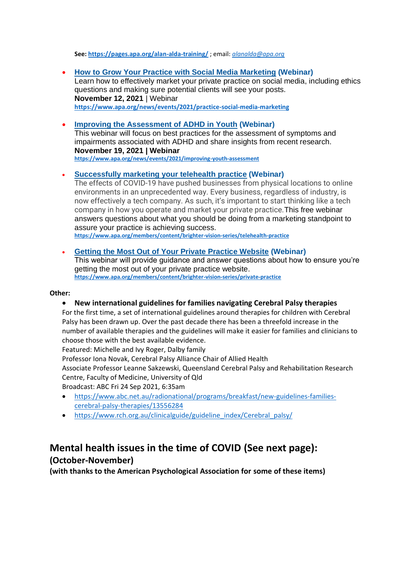**See: <https://pages.apa.org/alan-alda-training/>** ; email: *[alanalda@apa.org](mailto:alanalda@apa.org)*

- **How to Grow Your Practice with Social Media [Marketing](https://www.apa.org/news/events/2021/practice-social-media-marketing) (Webinar)** Learn how to effectively market your private practice on social media, including ethics questions and making sure potential clients will see your posts. **November 12, 2021** | Webinar **<https://www.apa.org/news/events/2021/practice-social-media-marketing>**
- **Improving the [Assessment](https://www.apa.org/news/events/2021/improving-youth-assessment) of ADHD in Youth (Webinar)** This webinar will focus on best practices for the assessment of symptoms and impairments associated with ADHD and share insights from recent research. **November 19, 2021 | Webinar <https://www.apa.org/news/events/2021/improving-youth-assessment>**

• **[Successfully](https://www.apa.org/members/content/brighter-vision-series/telehealth-practice) marketing your telehealth practice (Webinar)**

The effects of COVID-19 have pushed businesses from physical locations to online environments in an unprecedented way. Every business, regardless of industry, is now effectively a tech company. As such, it's important to start thinking like a tech company in how you operate and market your private practice.This free webinar answers questions about what you should be doing from a marketing standpoint to assure your practice is achieving success.

**<https://www.apa.org/members/content/brighter-vision-series/telehealth-practice>**

• **Getting the Most Out of Your Private [Practice](https://www.apa.org/members/content/brighter-vision-series/private-practice) Website (Webinar)** This webinar will provide guidance and answer questions about how to ensure you're getting the most out of your private practice website. **<https://www.apa.org/members/content/brighter-vision-series/private-practice>**

#### **Other:**

#### • **New international guidelines for families navigating Cerebral Palsy therapies**

For the first time, a set of international guidelines around therapies for children with Cerebral Palsy has been drawn up. Over the past decade there has been a threefold increase in the number of available therapies and the guidelines will make it easier for families and clinicians to choose those with the best available evidence.

Featured: Michelle and Ivy Roger, Dalby family

Professor Iona Novak, Cerebral Palsy Alliance Chair of Allied Health

Associate Professor Leanne Sakzewski, Queensland Cerebral Palsy and Rehabilitation Research Centre, Faculty of Medicine, University of Qld

Broadcast: ABC Fri 24 Sep 2021, 6:35am

- [https://www.abc.net.au/radionational/programs/breakfast/new-guidelines-families](https://www.abc.net.au/radionational/programs/breakfast/new-guidelines-families-cerebral-palsy-therapies/13556284)[cerebral-palsy-therapies/13556284](https://www.abc.net.au/radionational/programs/breakfast/new-guidelines-families-cerebral-palsy-therapies/13556284)
- [https://www.rch.org.au/clinicalguide/guideline\\_index/Cerebral\\_palsy/](https://www.rch.org.au/clinicalguide/guideline_index/Cerebral_palsy/)

# **Mental health issues in the time of COVID (See next page): (October-November)**

**(with thanks to the American Psychological Association for some of these items)**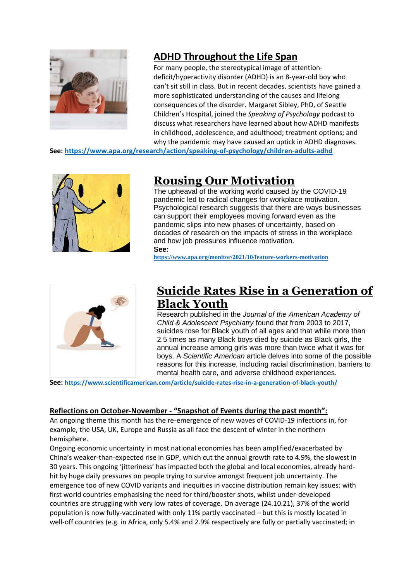

# **[ADHD Throughout the Life Span](https://click.info.apa.org/?qs=f87ae6666a4e94e0dc4bb38168147c18c86a6f381f8bb3d68406a3fd1658f2c92ad993fb010127dc7fa1c3c03721bec7732495b8f8f168e4)**

For many people, the stereotypical image of attentiondeficit/hyperactivity disorder (ADHD) is an 8-year-old boy who can't sit still in class. But in recent decades, scientists have gained a more sophisticated understanding of the causes and lifelong consequences of the disorder. Margaret Sibley, PhD, of Seattle Children's Hospital, joined the *Speaking of Psychology* podcast to discuss what researchers have learned about how ADHD manifests in childhood, adolescence, and adulthood; treatment options; and why the pandemic may have caused an uptick in ADHD diagnoses.

**See:<https://www.apa.org/research/action/speaking-of-psychology/children-adults-adhd>**



# **[Rousing Our Motivation](https://click.info.apa.org/?qs=f87ae6666a4e94e044840c2aaca80455a1e733a8f37ec0ec5372efad3afea4d39bf85050994d015cc30eca5a2a0cf74c992b8449dc8f09cd)**

The upheaval of the working world caused by the COVID-19 pandemic led to radical changes for workplace motivation. Psychological research suggests that there are ways businesses can support their employees moving forward even as the pandemic slips into new phases of uncertainty, based on decades of research on the impacts of stress in the workplace and how job pressures influence motivation. **See:** 

**<https://www.apa.org/monitor/2021/10/feature-workers-motivation>**



# **[Suicide Rates Rise in a Generation of](https://click.info.apa.org/?qs=f87ae6666a4e94e03d23470b64ed24a1abc403225bc3fa9b20676bb4c2a102306423e3fea256ff8b3a980fd54fa9e7aaa2efe4cdb151dfb7)  Black [Youth](https://click.info.apa.org/?qs=f87ae6666a4e94e03d23470b64ed24a1abc403225bc3fa9b20676bb4c2a102306423e3fea256ff8b3a980fd54fa9e7aaa2efe4cdb151dfb7)**

Research published in the *Journal of the American Academy of Child & Adolescent Psychiatry* found that from 2003 to 2017, suicides rose for Black youth of all ages and that while more than 2.5 times as many Black boys died by suicide as Black girls, the annual increase among girls was more than twice what it was for boys. A *Scientific American* article delves into some of the possible reasons for this increase, including racial discrimination, barriers to mental health care, and adverse childhood experiences.

**See: <https://www.scientificamerican.com/article/suicide-rates-rise-in-a-generation-of-black-youth/>**

### **Reflections on October-November - "Snapshot of Events during the past month":**

An ongoing theme this month has the re-emergence of new waves of COVID-19 infections in, for example, the USA, UK, Europe and Russia as all face the descent of winter in the northern hemisphere.

Ongoing economic uncertainty in most national economies has been amplified/exacerbated by China's weaker-than-expected rise in GDP, which cut the annual growth rate to 4.9%, the slowest in 30 years. This ongoing 'jitteriness' has impacted both the global and local economies, already hardhit by huge daily pressures on people trying to survive amongst frequent job uncertainty. The emergence too of new COVID variants and inequities in vaccine distribution remain key issues: with first world countries emphasising the need for third/booster shots, whilst under-developed countries are struggling with very low rates of coverage. On average (24.10.21), 37% of the world population is now fully-vaccinated with only 11% partly vaccinated – but this is mostly located in well-off countries (e.g. in Africa, only 5.4% and 2.9% respectively are fully or partially vaccinated; in